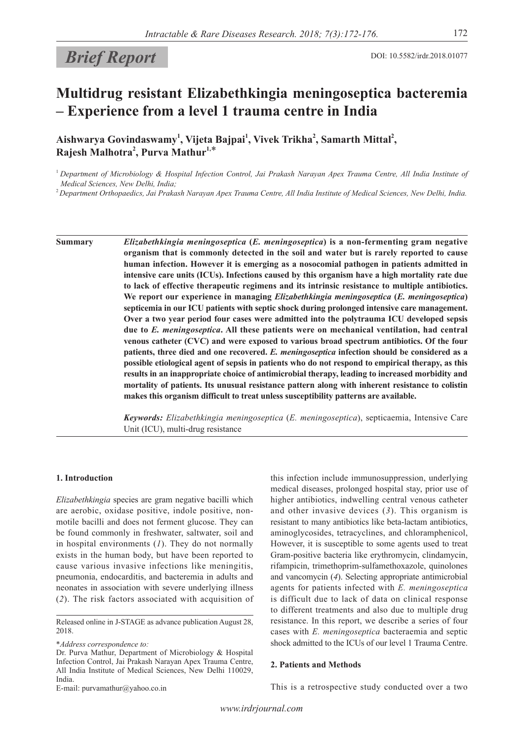# **Brief Report** DOI: 10.5582/irdr.2018.01077

## **Multidrug resistant Elizabethkingia meningoseptica bacteremia – Experience from a level 1 trauma centre in India**

Aishwarya Govindaswamy<sup>1</sup>, Vijeta Bajpai<sup>1</sup>, Vivek Trikha<sup>2</sup>, Samarth Mittal<sup>2</sup>, **Rajesh Malhotra<sup>2</sup> , Purva Mathur1,**\*

<sup>1</sup>*Department of Microbiology & Hospital Infection Control, Jai Prakash Narayan Apex Trauma Centre, All India Institute of Medical Sciences, New Delhi, India;*

<sup>2</sup>*Department Orthopaedics, Jai Prakash Narayan Apex Trauma Centre, All India Institute of Medical Sciences, New Delhi, India.*

**Summary** *Elizabethkingia meningoseptica* **(***E. meningoseptica***) is a non-fermenting gram negative organism that is commonly detected in the soil and water but is rarely reported to cause human infection. However it is emerging as a nosocomial pathogen in patients admitted in intensive care units (ICUs). Infections caused by this organism have a high mortality rate due to lack of effective therapeutic regimens and its intrinsic resistance to multiple antibiotics. We report our experience in managing** *Elizabethkingia meningoseptica* **(***E. meningoseptica***) septicemia in our ICU patients with septic shock during prolonged intensive care management. Over a two year period four cases were admitted into the polytrauma ICU developed sepsis due to** *E. meningoseptica***. All these patients were on mechanical ventilation, had central venous catheter (CVC) and were exposed to various broad spectrum antibiotics. Of the four patients, three died and one recovered.** *E. meningoseptica* **infection should be considered as a possible etiological agent of sepsis in patients who do not respond to empirical therapy, as this results in an inappropriate choice of antimicrobial therapy, leading to increased morbidity and mortality of patients. Its unusual resistance pattern along with inherent resistance to colistin makes this organism difficult to treat unless susceptibility patterns are available.**

> *Keywords: Elizabethkingia meningoseptica* (*E. meningoseptica*), septicaemia, Intensive Care Unit (ICU), multi-drug resistance

#### **1. Introduction**

*Elizabethkingia* species are gram negative bacilli which are aerobic, oxidase positive, indole positive, nonmotile bacilli and does not ferment glucose. They can be found commonly in freshwater, saltwater, soil and in hospital environments (*1*). They do not normally exists in the human body, but have been reported to cause various invasive infections like meningitis, pneumonia, endocarditis, and bacteremia in adults and neonates in association with severe underlying illness (*2*). The risk factors associated with acquisition of

\**Address correspondence to:*

E-mail: purvamathur@yahoo.co.in

this infection include immunosuppression, underlying medical diseases, prolonged hospital stay, prior use of higher antibiotics, indwelling central venous catheter and other invasive devices (*3*). This organism is resistant to many antibiotics like beta-lactam antibiotics, aminoglycosides, tetracyclines, and chloramphenicol, However, it is susceptible to some agents used to treat Gram-positive bacteria like erythromycin, clindamycin, rifampicin, trimethoprim-sulfamethoxazole, quinolones and vancomycin (*4*). Selecting appropriate antimicrobial agents for patients infected with *E. meningoseptica* is difficult due to lack of data on clinical response to different treatments and also due to multiple drug resistance. In this report, we describe a series of four cases with *E. meningoseptica* bacteraemia and septic shock admitted to the ICUs of our level 1 Trauma Centre.

#### **2. Patients and Methods**

This is a retrospective study conducted over a two

Released online in J-STAGE as advance publication August 28, 2018.

Dr. Purva Mathur, Department of Microbiology & Hospital Infection Control, Jai Prakash Narayan Apex Trauma Centre, All India Institute of Medical Sciences, New Delhi 110029, India.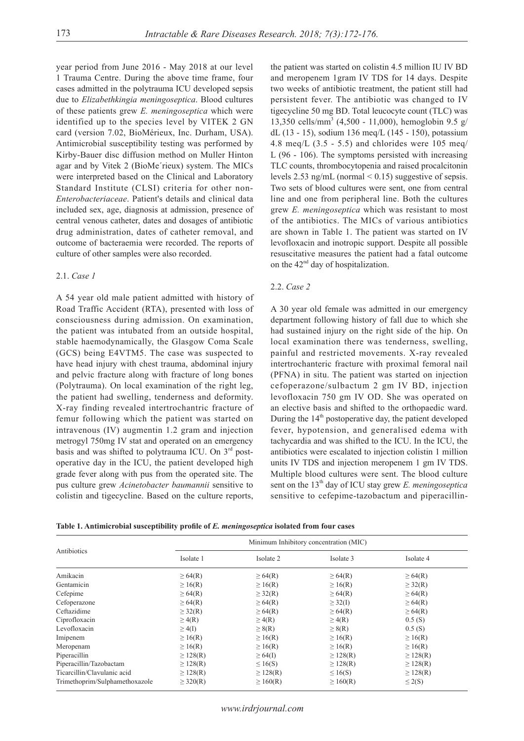year period from June 2016 - May 2018 at our level 1 Trauma Centre. During the above time frame, four cases admitted in the polytrauma ICU developed sepsis due to *Elizabethkingia meningoseptica*. Blood cultures of these patients grew *E. meningoseptica* which were identified up to the species level by VITEK 2 GN card (version 7.02, BioMérieux, Inc. Durham, USA). Antimicrobial susceptibility testing was performed by Kirby-Bauer disc diffusion method on Muller Hinton agar and by Vitek 2 (BioMe´rieux) system. The MICs were interpreted based on the Clinical and Laboratory Standard Institute (CLSI) criteria for other non-*Enterobacteriaceae*. Patient's details and clinical data included sex, age, diagnosis at admission, presence of central venous catheter, dates and dosages of antibiotic drug administration, dates of catheter removal, and outcome of bacteraemia were recorded. The reports of culture of other samples were also recorded.

#### 2.1. *Case 1*

A 54 year old male patient admitted with history of Road Traffic Accident (RTA), presented with loss of consciousness during admission. On examination, the patient was intubated from an outside hospital, stable haemodynamically, the Glasgow Coma Scale (GCS) being E4VTM5. The case was suspected to have head injury with chest trauma, abdominal injury and pelvic fracture along with fracture of long bones (Polytrauma). On local examination of the right leg, the patient had swelling, tenderness and deformity. X-ray finding revealed intertrochantric fracture of femur following which the patient was started on intravenous (IV) augmentin 1.2 gram and injection metrogyl 750mg IV stat and operated on an emergency basis and was shifted to polytrauma ICU. On  $3<sup>rd</sup>$  postoperative day in the ICU, the patient developed high grade fever along with pus from the operated site. The pus culture grew *Acinetobacter baumannii* sensitive to colistin and tigecycline. Based on the culture reports,

the patient was started on colistin 4.5 million IU IV BD and meropenem 1gram IV TDS for 14 days. Despite two weeks of antibiotic treatment, the patient still had persistent fever. The antibiotic was changed to IV tigecycline 50 mg BD. Total leucocyte count (TLC) was 13,350 cells/mm<sup>3</sup> (4,500 - 11,000), hemoglobin 9.5 g/ dL (13 - 15), sodium 136 meq/L (145 - 150), potassium 4.8 meq/L  $(3.5 - 5.5)$  and chlorides were 105 meq/ L (96 - 106). The symptoms persisted with increasing TLC counts, thrombocytopenia and raised procalcitonin levels 2.53 ng/mL (normal < 0.15) suggestive of sepsis. Two sets of blood cultures were sent, one from central line and one from peripheral line. Both the cultures grew *E. meningoseptica* which was resistant to most of the antibiotics. The MICs of various antibiotics are shown in Table 1. The patient was started on IV levofloxacin and inotropic support. Despite all possible resuscitative measures the patient had a fatal outcome on the 42<sup>nd</sup> day of hospitalization.

### 2.2. *Case 2*

A 30 year old female was admitted in our emergency department following history of fall due to which she had sustained injury on the right side of the hip. On local examination there was tenderness, swelling, painful and restricted movements. X-ray revealed intertrochanteric fracture with proximal femoral nail (PFNA) in situ. The patient was started on injection cefoperazone/sulbactum 2 gm IV BD, injection levofloxacin 750 gm IV OD. She was operated on an elective basis and shifted to the orthopaedic ward. During the  $14<sup>th</sup>$  postoperative day, the patient developed fever, hypotension, and generalised edema with tachycardia and was shifted to the ICU. In the ICU, the antibiotics were escalated to injection colistin 1 million units IV TDS and injection meropenem 1 gm IV TDS. Multiple blood cultures were sent. The blood culture sent on the 13<sup>th</sup> day of ICU stay grew *E. meningoseptica* sensitive to cefepime-tazobactum and piperacillin-

**Table 1. Antimicrobial susceptibility profile of** *E. meningoseptica* **isolated from four cases**

|                                | Minimum Inhibitory concentration (MIC) |               |               |               |  |  |
|--------------------------------|----------------------------------------|---------------|---------------|---------------|--|--|
| Antibiotics                    | Isolate 1                              | Isolate 2     | Isolate 3     | Isolate 4     |  |  |
| Amikacin                       | $\geq 64(R)$                           | $\geq 64(R)$  | $\geq 64(R)$  | $\geq 64(R)$  |  |  |
| Gentamicin                     | $\geq 16(R)$                           | $\geq 16(R)$  | $\geq 16(R)$  | $\geq$ 32(R)  |  |  |
| Cefepime                       | $\geq 64(R)$                           | $\geq$ 32(R)  | $\geq 64(R)$  | $\geq 64(R)$  |  |  |
| Cefoperazone                   | $\geq 64(R)$                           | $\geq 64(R)$  | $\geq$ 32(I)  | $\geq 64(R)$  |  |  |
| Ceftazidime                    | $\geq$ 32(R)                           | $\geq 64(R)$  | $\geq 64(R)$  | $\geq 64(R)$  |  |  |
| Ciprofloxacin                  | $\geq$ 4(R)                            | $\geq$ 4(R)   | $\geq$ 4(R)   | 0.5(S)        |  |  |
| Levofloxacin                   | $\geq$ 4(I)                            | $\geq 8(R)$   | $\geq 8(R)$   | 0.5(S)        |  |  |
| Imipenem                       | $\geq 16(R)$                           | $\geq 16(R)$  | $\geq 16(R)$  | $\geq 16(R)$  |  |  |
| Meropenam                      | $\geq 16(R)$                           | $\geq 16(R)$  | $\geq 16(R)$  | $\geq 16(R)$  |  |  |
| Piperacillin                   | $\geq$ 128(R)                          | $\geq 64$ (I) | $\geq$ 128(R) | $\geq$ 128(R) |  |  |
| Piperacillin/Tazobactam        | $\geq$ 128(R)                          | $\leq 16(S)$  | $\geq$ 128(R) | $\geq$ 128(R) |  |  |
| Ticarcillin/Clavulanic acid    | $\geq$ 128(R)                          | $\geq$ 128(R) | $\leq 16(S)$  | $\geq$ 128(R) |  |  |
| Trimethoprim/Sulphamethoxazole | $\geq$ 320(R)                          | $\geq 160(R)$ | $\geq 160(R)$ | $\leq$ 2(S)   |  |  |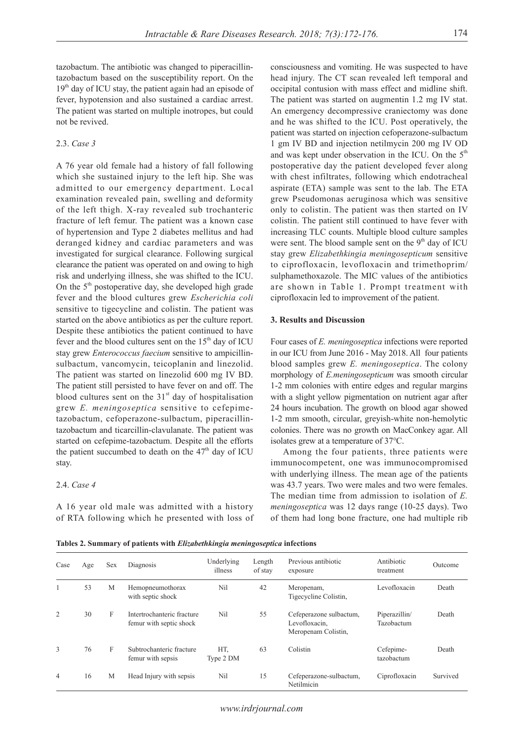tazobactum. The antibiotic was changed to piperacillintazobactum based on the susceptibility report. On the  $19<sup>th</sup>$  day of ICU stay, the patient again had an episode of fever, hypotension and also sustained a cardiac arrest. The patient was started on multiple inotropes, but could not be revived.

### 2.3. *Case 3*

A 76 year old female had a history of fall following which she sustained injury to the left hip. She was admitted to our emergency department. Local examination revealed pain, swelling and deformity of the left thigh. X-ray revealed sub trochanteric fracture of left femur. The patient was a known case of hypertension and Type 2 diabetes mellitus and had deranged kidney and cardiac parameters and was investigated for surgical clearance. Following surgical clearance the patient was operated on and owing to high risk and underlying illness, she was shifted to the ICU. On the  $5<sup>th</sup>$  postoperative day, she developed high grade fever and the blood cultures grew *Escherichia coli* sensitive to tigecycline and colistin. The patient was started on the above antibiotics as per the culture report. Despite these antibiotics the patient continued to have fever and the blood cultures sent on the  $15<sup>th</sup>$  day of ICU stay grew *Enterococcus faecium* sensitive to ampicillinsulbactum, vancomycin, teicoplanin and linezolid. The patient was started on linezolid 600 mg IV BD. The patient still persisted to have fever on and off. The blood cultures sent on the  $31<sup>st</sup>$  day of hospitalisation grew *E. meningoseptica* sensitive to cefepimetazobactum, cefoperazone-sulbactum, piperacillintazobactum and ticarcillin-clavulanate. The patient was started on cefepime-tazobactum. Despite all the efforts the patient succumbed to death on the  $47<sup>th</sup>$  day of ICU stay.

#### 2.4. *Case 4*

A 16 year old male was admitted with a history of RTA following which he presented with loss of consciousness and vomiting. He was suspected to have head injury. The CT scan revealed left temporal and occipital contusion with mass effect and midline shift. The patient was started on augmentin 1.2 mg IV stat. An emergency decompressive craniectomy was done and he was shifted to the ICU. Post operatively, the patient was started on injection cefoperazone-sulbactum 1 gm IV BD and injection netilmycin 200 mg IV OD and was kept under observation in the ICU. On the  $5<sup>th</sup>$ postoperative day the patient developed fever along with chest infiltrates, following which endotracheal aspirate (ETA) sample was sent to the lab. The ETA grew Pseudomonas aeruginosa which was sensitive only to colistin. The patient was then started on IV colistin. The patient still continued to have fever with increasing TLC counts. Multiple blood culture samples were sent. The blood sample sent on the  $9<sup>th</sup>$  day of ICU stay grew *Elizabethkingia meningosepticum* sensitive to ciprofloxacin, levofloxacin and trimethoprim/ sulphamethoxazole. The MIC values of the antibiotics are shown in Table 1. Prompt treatment with ciprofloxacin led to improvement of the patient.

#### **3. Results and Discussion**

Four cases of *E. meningoseptica* infections were reported in our ICU from June 2016 - May 2018. All four patients blood samples grew *E. meningoseptica*. The colony morphology of *E.meningosepticum* was smooth circular 1-2 mm colonies with entire edges and regular margins with a slight yellow pigmentation on nutrient agar after 24 hours incubation. The growth on blood agar showed 1-2 mm smooth, circular, greyish-white non-hemolytic colonies. There was no growth on MacConkey agar. All isolates grew at a temperature of 37℃.

Among the four patients, three patients were immunocompetent, one was immunocompromised with underlying illness. The mean age of the patients was 43.7 years. Two were males and two were females. The median time from admission to isolation of *E. meningoseptica* was 12 days range (10-25 days). Two of them had long bone fracture, one had multiple rib

**Tables 2. Summary of patients with** *Elizabethkingia meningoseptica* **infections**

| Case | Age | Sex | Diagnosis                                             | Underlying<br>illness | Length<br>of stay | Previous antibiotic<br>exposure                                 | Antibiotic<br>treatment     | Outcome  |
|------|-----|-----|-------------------------------------------------------|-----------------------|-------------------|-----------------------------------------------------------------|-----------------------------|----------|
|      | 53  | М   | Hemopheumothorax<br>with septic shock                 | Nil                   | 42                | Meropenam,<br>Tigecycline Colistin,                             | Levofloxacin                | Death    |
| 2    | 30  | F   | Intertrochanteric fracture<br>femur with septic shock | Ni1                   | 55                | Cefeperazone sulbactum,<br>Levofloxacin.<br>Meropenam Colistin, | Piperazillin/<br>Tazobactum | Death    |
| 3    | 76  | F   | Subtrochanteric fracture<br>femur with sepsis         | HT.<br>Type 2 DM      | 63                | Colistin                                                        | Cefepime-<br>tazobactum     | Death    |
| 4    | 16  | М   | Head Injury with sepsis                               | Nil                   | 15                | Cefeperazone-sulbactum,<br>Netilmicin                           | Ciprofloxacin               | Survived |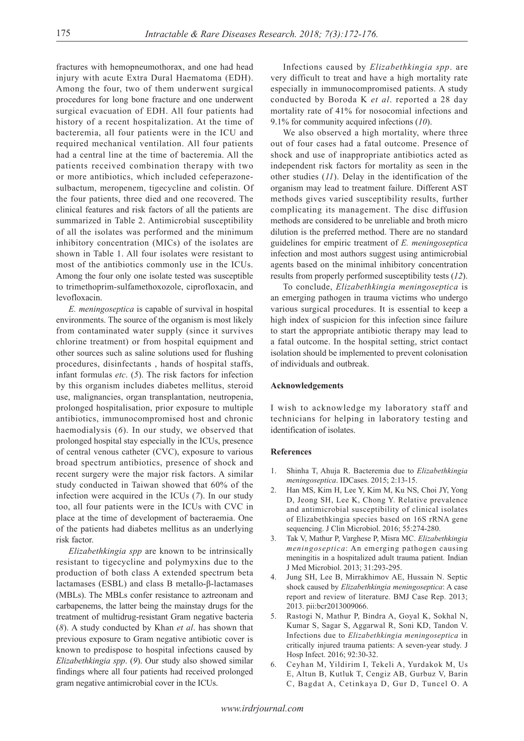fractures with hemopneumothorax, and one had head injury with acute Extra Dural Haematoma (EDH). Among the four, two of them underwent surgical procedures for long bone fracture and one underwent surgical evacuation of EDH. All four patients had history of a recent hospitalization. At the time of bacteremia, all four patients were in the ICU and required mechanical ventilation. All four patients had a central line at the time of bacteremia. All the patients received combination therapy with two or more antibiotics, which included cefeperazonesulbactum, meropenem, tigecycline and colistin. Of the four patients, three died and one recovered. The clinical features and risk factors of all the patients are summarized in Table 2. Antimicrobial susceptibility of all the isolates was performed and the minimum inhibitory concentration (MICs) of the isolates are shown in Table 1. All four isolates were resistant to most of the antibiotics commonly use in the ICUs. Among the four only one isolate tested was susceptible to trimethoprim-sulfamethoxozole, ciprofloxacin, and levofloxacin.

*E. meningoseptica* is capable of survival in hospital environments. The source of the organism is most likely from contaminated water supply (since it survives chlorine treatment) or from hospital equipment and other sources such as saline solutions used for flushing procedures, disinfectants , hands of hospital staffs, infant formulas *etc*. (*5*). The risk factors for infection by this organism includes diabetes mellitus, steroid use, malignancies, organ transplantation, neutropenia, prolonged hospitalisation, prior exposure to multiple antibiotics, immunocompromised host and chronic haemodialysis (*6*). In our study, we observed that prolonged hospital stay especially in the ICUs, presence of central venous catheter (CVC), exposure to various broad spectrum antibiotics, presence of shock and recent surgery were the major risk factors. A similar study conducted in Taiwan showed that 60% of the infection were acquired in the ICUs (*7*). In our study too, all four patients were in the ICUs with CVC in place at the time of development of bacteraemia. One of the patients had diabetes mellitus as an underlying risk factor.

*Elizabethkingia spp* are known to be intrinsically resistant to tigecycline and polymyxins due to the production of both class A extended spectrum beta lactamases (ESBL) and class B metallo-β-lactamases (MBLs). The MBLs confer resistance to aztreonam and carbapenems, the latter being the mainstay drugs for the treatment of multidrug-resistant Gram negative bacteria (*8*). A study conducted by Khan *et al*. has shown that previous exposure to Gram negative antibiotic cover is known to predispose to hospital infections caused by *Elizabethkingia spp*. (*9*). Our study also showed similar findings where all four patients had received prolonged gram negative antimicrobial cover in the ICUs.

Infections caused by *Elizabethkingia spp*. are very difficult to treat and have a high mortality rate especially in immunocompromised patients. A study conducted by Boroda K *et al*. reported a 28 day mortality rate of 41% for nosocomial infections and 9.1% for community acquired infections (*10*).

We also observed a high mortality, where three out of four cases had a fatal outcome. Presence of shock and use of inappropriate antibiotics acted as independent risk factors for mortality as seen in the other studies (*11*). Delay in the identification of the organism may lead to treatment failure. Different AST methods gives varied susceptibility results, further complicating its management. The disc diffusion methods are considered to be unreliable and broth micro dilution is the preferred method. There are no standard guidelines for empiric treatment of *E. meningoseptica* infection and most authors suggest using antimicrobial agents based on the minimal inhibitory concentration results from properly performed susceptibility tests (*12*).

To conclude, *Elizabethkingia meningoseptica* is an emerging pathogen in trauma victims who undergo various surgical procedures. It is essential to keep a high index of suspicion for this infection since failure to start the appropriate antibiotic therapy may lead to a fatal outcome. In the hospital setting, strict contact isolation should be implemented to prevent colonisation of individuals and outbreak.

#### **Acknowledgements**

I wish to acknowledge my laboratory staff and technicians for helping in laboratory testing and identification of isolates.

#### **References**

- 1. Shinha T, Ahuja R. Bacteremia due to *Elizabethkingia meningoseptica*. IDCases. 2015; 2:13-15.
- 2. Han MS, Kim H, Lee Y, Kim M, Ku NS, Choi JY, Yong D, Jeong SH, Lee K, Chong Y. Relative prevalence and antimicrobial susceptibility of clinical isolates of Elizabethkingia species based on 16S rRNA gene sequencing. J Clin Microbiol. 2016; 55:274-280.
- 3. Tak V, Mathur P, Varghese P, Misra MC. *Elizabethkingia meningoseptica*: An emerging pathogen causing meningitis in a hospitalized adult trauma patient. Indian J Med Microbiol. 2013; 31:293-295.
- 4. Jung SH, Lee B, Mirrakhimov AE, Hussain N. Septic shock caused by *Elizabethkingia meningoseptica*: A case report and review of literature. BMJ Case Rep. 2013; 2013. pii:bcr2013009066.
- 5. Rastogi N, Mathur P, Bindra A, Goyal K, Sokhal N, Kumar S, Sagar S, Aggarwal R, Soni KD, Tandon V. Infections due to *Elizabethkingia meningoseptica* in critically injured trauma patients: A seven-year study. J Hosp Infect. 2016; 92:30-32.
- 6. Ceyhan M, Yildirim I, Tekeli A, Yurdakok M, Us E, Altun B, Kutluk T, Cengiz AB, Gurbuz V, Barin C, Bagdat A, Cetinkaya D, Gur D, Tuncel O. A